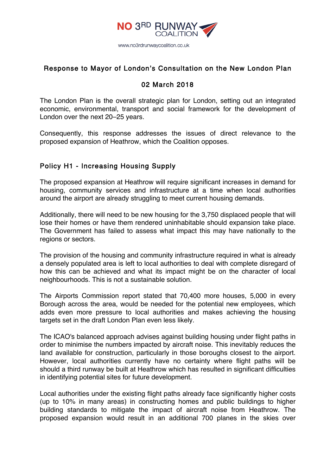

### Response to Mayor of London's Consultation on the New London Plan

# 02 March 2018

The London Plan is the overall strategic plan for London, setting out an integrated economic, environmental, transport and social framework for the development of London over the next 20–25 years.

Consequently, this response addresses the issues of direct relevance to the proposed expansion of Heathrow, which the Coalition opposes.

## Policy H1 - Increasing Housing Supply

The proposed expansion at Heathrow will require significant increases in demand for housing, community services and infrastructure at a time when local authorities around the airport are already struggling to meet current housing demands.

Additionally, there will need to be new housing for the 3,750 displaced people that will lose their homes or have them rendered uninhabitable should expansion take place. The Government has failed to assess what impact this may have nationally to the regions or sectors.

The provision of the housing and community infrastructure required in what is already a densely populated area is left to local authorities to deal with complete disregard of how this can be achieved and what its impact might be on the character of local neighbourhoods. This is not a sustainable solution.

The Airports Commission report stated that 70,400 more houses, 5,000 in every Borough across the area, would be needed for the potential new employees, which adds even more pressure to local authorities and makes achieving the housing targets set in the draft London Plan even less likely.

The ICAO's balanced approach advises against building housing under flight paths in order to minimise the numbers impacted by aircraft noise. This inevitably reduces the land available for construction, particularly in those boroughs closest to the airport. However, local authorities currently have no certainty where flight paths will be should a third runway be built at Heathrow which has resulted in significant difficulties in identifying potential sites for future development.

Local authorities under the existing flight paths already face significantly higher costs (up to 10% in many areas) in constructing homes and public buildings to higher building standards to mitigate the impact of aircraft noise from Heathrow. The proposed expansion would result in an additional 700 planes in the skies over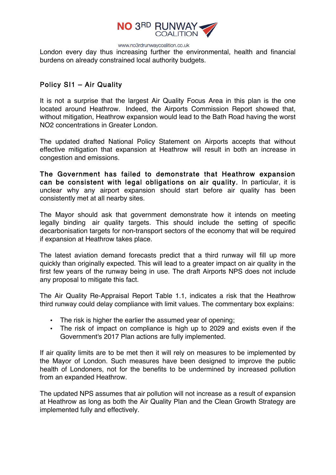

London every day thus increasing further the environmental, health and financial burdens on already constrained local authority budgets.

# Policy SI1 – Air Quality

It is not a surprise that the largest Air Quality Focus Area in this plan is the one located around Heathrow. Indeed, the Airports Commission Report showed that, without mitigation, Heathrow expansion would lead to the Bath Road having the worst NO2 concentrations in Greater London.

The updated drafted National Policy Statement on Airports accepts that without effective mitigation that expansion at Heathrow will result in both an increase in congestion and emissions.

The Government has failed to demonstrate that Heathrow expansion can be consistent with legal obligations on air quality. In particular, it is unclear why any airport expansion should start before air quality has been consistently met at all nearby sites.

The Mayor should ask that government demonstrate how it intends on meeting legally binding air quality targets. This should include the setting of specific decarbonisation targets for non-transport sectors of the economy that will be required if expansion at Heathrow takes place.

The latest aviation demand forecasts predict that a third runway will fill up more quickly than originally expected. This will lead to a greater impact on air quality in the first few years of the runway being in use. The draft Airports NPS does not include any proposal to mitigate this fact.

The Air Quality Re-Appraisal Report Table 1.1, indicates a risk that the Heathrow third runway could delay compliance with limit values. The commentary box explains:

- The risk is higher the earlier the assumed year of opening;
- The risk of impact on compliance is high up to 2029 and exists even if the Government's 2017 Plan actions are fully implemented.

If air quality limits are to be met then it will rely on measures to be implemented by the Mayor of London. Such measures have been designed to improve the public health of Londoners, not for the benefits to be undermined by increased pollution from an expanded Heathrow.

The updated NPS assumes that air pollution will not increase as a result of expansion at Heathrow as long as both the Air Quality Plan and the Clean Growth Strategy are implemented fully and effectively.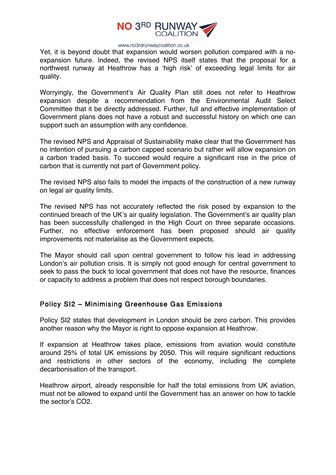

Yet, it is beyond doubt that expansion would worsen pollution compared with a noexpansion future. Indeed, the revised NPS itself states that the proposal for a northwest runway at Heathrow has a 'high risk' of exceeding legal limits for air quality.

Worryingly, the Government's Air Quality Plan still does not refer to Heathrow expansion despite a recommendation from the Environmental Audit Select Committee that it be directly addressed. Further, full and effective implementation of Government plans does not have a robust and successful history on which one can support such an assumption with any confidence.

The revised NPS and Appraisal of Sustainability make clear that the Government has no intention of pursuing a carbon capped scenario but rather will allow expansion on a carbon traded basis. To succeed would require a significant rise in the price of carbon that is currently not part of Government policy.

The revised NPS also fails to model the impacts of the construction of a new runway on legal air quality limits.

The revised NPS has not accurately reflected the risk posed by expansion to the continued breach of the UK's air quality legislation. The Government's air quality plan has been successfully challenged in the High Court on three separate occasions. Further, no effective enforcement has been proposed should air quality improvements not materialise as the Government expects.

The Mayor should call upon central government to follow his lead in addressing London's air pollution crisis. It is simply not good enough for central government to seek to pass the buck to local government that does not have the resource, finances or capacity to address a problem that does not respect borough boundaries.

### Policy SI2 – Minimising Greenhouse Gas Emissions

Policy SI2 states that development in London should be zero carbon. This provides another reason why the Mayor is right to oppose expansion at Heathrow.

If expansion at Heathrow takes place, emissions from aviation would constitute around 25% of total UK emissions by 2050. This will require significant reductions and restrictions in other sectors of the economy, including the complete decarbonisation of the transport.

Heathrow airport, already responsible for half the total emissions from UK aviation, must not be allowed to expand until the Government has an answer on how to tackle the sector's CO2.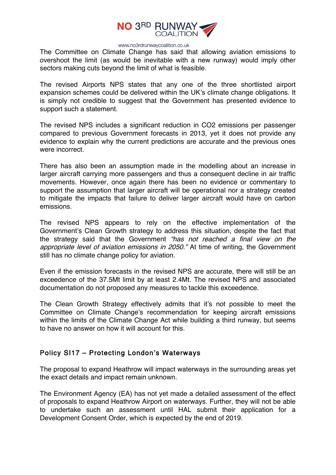

The Committee on Climate Change has said that allowing aviation emissions to overshoot the limit (as would be inevitable with a new runway) would imply other sectors making cuts beyond the limit of what is feasible.

The revised Airports NPS states that any one of the three shortlisted airport expansion schemes could be delivered within the UK's climate change obligations. It is simply not credible to suggest that the Government has presented evidence to support such a statement.

The revised NPS includes a significant reduction in CO2 emissions per passenger compared to previous Government forecasts in 2013, yet it does not provide any evidence to explain why the current predictions are accurate and the previous ones were incorrect.

There has also been an assumption made in the modelling about an increase in larger aircraft carrying more passengers and thus a consequent decline in air traffic movements. However, once again there has been no evidence or commentary to support the assumption that larger aircraft will be operational nor a strategy created to mitigate the impacts that failure to deliver larger aircraft would have on carbon emissions.

The revised NPS appears to rely on the effective implementation of the Government's Clean Growth strategy to address this situation, despite the fact that the strategy said that the Government "has not reached a final view on the appropriate level of aviation emissions in 2050." At time of writing, the Government still has no climate change policy for aviation.

Even if the emission forecasts in the revised NPS are accurate, there will still be an exceedence of the 37.5Mt limit by at least 2.4Mt. The revised NPS and associated documentation do not proposed any measures to tackle this exceedence.

The Clean Growth Strategy effectively admits that it's not possible to meet the Committee on Climate Change's recommendation for keeping aircraft emissions within the limits of the Climate Change Act while building a third runway, but seems to have no answer on how it will account for this.

### Policy SI17 – Protecting London's Waterways

The proposal to expand Heathrow will impact waterways in the surrounding areas yet the exact details and impact remain unknown.

The Environment Agency (EA) has not yet made a detailed assessment of the effect of proposals to expand Heathrow Airport on waterways. Further, they will not be able to undertake such an assessment until HAL submit their application for a Development Consent Order, which is expected by the end of 2019.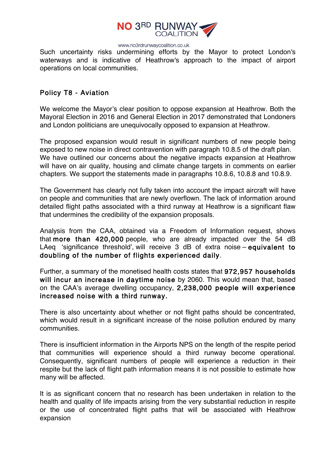

Such uncertainty risks undermining efforts by the Mayor to protect London's waterways and is indicative of Heathrow's approach to the impact of airport operations on local communities.

### Policy T8 - Aviation

We welcome the Mayor's clear position to oppose expansion at Heathrow. Both the Mayoral Election in 2016 and General Election in 2017 demonstrated that Londoners and London politicians are unequivocally opposed to expansion at Heathrow.

The proposed expansion would result in significant numbers of new people being exposed to new noise in direct contravention with paragraph 10.8.5 of the draft plan. We have outlined our concerns about the negative impacts expansion at Heathrow will have on air quality, housing and climate change targets in comments on earlier chapters. We support the statements made in paragraphs 10.8.6, 10.8.8 and 10.8.9.

The Government has clearly not fully taken into account the impact aircraft will have on people and communities that are newly overflown. The lack of information around detailed flight paths associated with a third runway at Heathrow is a significant flaw that undermines the credibility of the expansion proposals.

Analysis from the CAA, obtained via a Freedom of Information request, shows that more than 420,000 people, who are already impacted over the 54 dB LAeq 'significance threshold', will receive 3 dB of extra noise – equivalent to doubling of the number of flights experienced daily.

Further, a summary of the monetised health costs states that 972,957 households will incur an increase in daytime noise by 2060. This would mean that, based on the CAA's average dwelling occupancy, 2,238,000 people will experience increased noise with a third runway.

There is also uncertainty about whether or not flight paths should be concentrated, which would result in a significant increase of the noise pollution endured by many communities.

There is insufficient information in the Airports NPS on the length of the respite period that communities will experience should a third runway become operational. Consequently, significant numbers of people will experience a reduction in their respite but the lack of flight path information means it is not possible to estimate how many will be affected.

It is as significant concern that no research has been undertaken in relation to the health and quality of life impacts arising from the very substantial reduction in respite or the use of concentrated flight paths that will be associated with Heathrow expansion